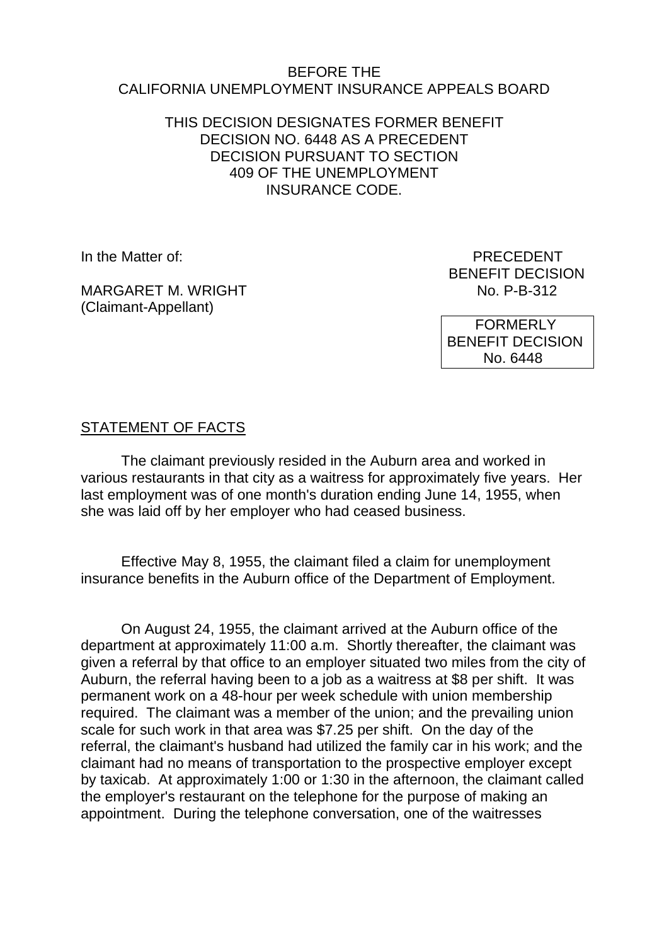#### BEFORE THE CALIFORNIA UNEMPLOYMENT INSURANCE APPEALS BOARD

### THIS DECISION DESIGNATES FORMER BENEFIT DECISION NO. 6448 AS A PRECEDENT DECISION PURSUANT TO SECTION 409 OF THE UNEMPLOYMENT INSURANCE CODE.

MARGARET M. WRIGHT (Claimant-Appellant)

In the Matter of: **PRECEDENT** BENEFIT DECISION<br>No. P-B-312

> FORMERLY BENEFIT DECISION No. 6448

## STATEMENT OF FACTS

The claimant previously resided in the Auburn area and worked in various restaurants in that city as a waitress for approximately five years. Her last employment was of one month's duration ending June 14, 1955, when she was laid off by her employer who had ceased business.

Effective May 8, 1955, the claimant filed a claim for unemployment insurance benefits in the Auburn office of the Department of Employment.

On August 24, 1955, the claimant arrived at the Auburn office of the department at approximately 11:00 a.m. Shortly thereafter, the claimant was given a referral by that office to an employer situated two miles from the city of Auburn, the referral having been to a job as a waitress at \$8 per shift. It was permanent work on a 48-hour per week schedule with union membership required. The claimant was a member of the union; and the prevailing union scale for such work in that area was \$7.25 per shift. On the day of the referral, the claimant's husband had utilized the family car in his work; and the claimant had no means of transportation to the prospective employer except by taxicab. At approximately 1:00 or 1:30 in the afternoon, the claimant called the employer's restaurant on the telephone for the purpose of making an appointment. During the telephone conversation, one of the waitresses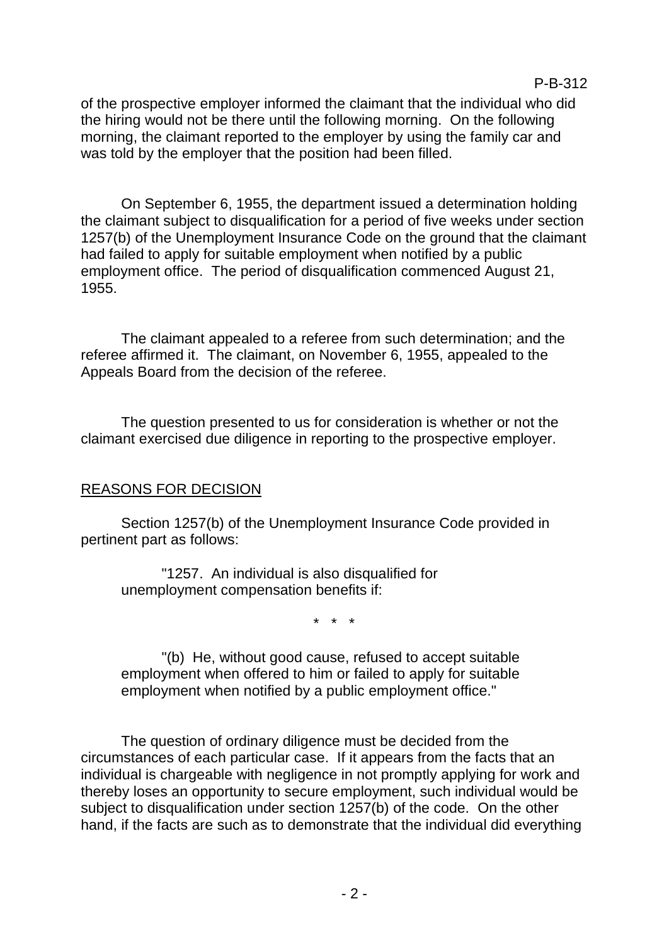of the prospective employer informed the claimant that the individual who did the hiring would not be there until the following morning. On the following morning, the claimant reported to the employer by using the family car and was told by the employer that the position had been filled.

On September 6, 1955, the department issued a determination holding the claimant subject to disqualification for a period of five weeks under section 1257(b) of the Unemployment Insurance Code on the ground that the claimant had failed to apply for suitable employment when notified by a public employment office. The period of disqualification commenced August 21, 1955.

The claimant appealed to a referee from such determination; and the referee affirmed it. The claimant, on November 6, 1955, appealed to the Appeals Board from the decision of the referee.

The question presented to us for consideration is whether or not the claimant exercised due diligence in reporting to the prospective employer.

## REASONS FOR DECISION

Section 1257(b) of the Unemployment Insurance Code provided in pertinent part as follows:

"1257. An individual is also disqualified for unemployment compensation benefits if:

\* \* \*

"(b) He, without good cause, refused to accept suitable employment when offered to him or failed to apply for suitable employment when notified by a public employment office."

The question of ordinary diligence must be decided from the circumstances of each particular case. If it appears from the facts that an individual is chargeable with negligence in not promptly applying for work and thereby loses an opportunity to secure employment, such individual would be subject to disqualification under section 1257(b) of the code. On the other hand, if the facts are such as to demonstrate that the individual did everything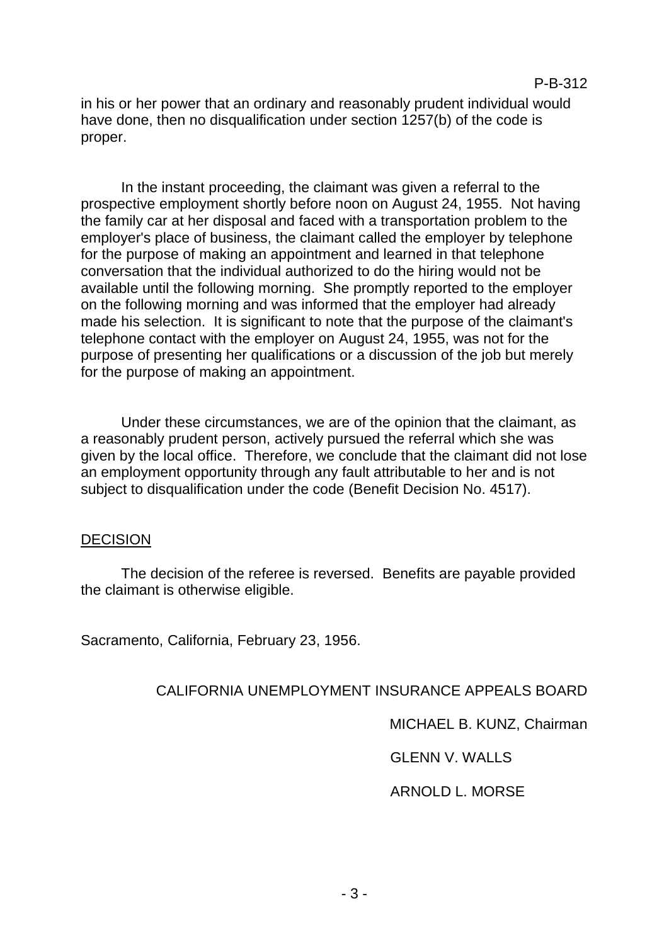in his or her power that an ordinary and reasonably prudent individual would have done, then no disqualification under section 1257(b) of the code is proper.

In the instant proceeding, the claimant was given a referral to the prospective employment shortly before noon on August 24, 1955. Not having the family car at her disposal and faced with a transportation problem to the employer's place of business, the claimant called the employer by telephone for the purpose of making an appointment and learned in that telephone conversation that the individual authorized to do the hiring would not be available until the following morning. She promptly reported to the employer on the following morning and was informed that the employer had already made his selection. It is significant to note that the purpose of the claimant's telephone contact with the employer on August 24, 1955, was not for the purpose of presenting her qualifications or a discussion of the job but merely for the purpose of making an appointment.

Under these circumstances, we are of the opinion that the claimant, as a reasonably prudent person, actively pursued the referral which she was given by the local office. Therefore, we conclude that the claimant did not lose an employment opportunity through any fault attributable to her and is not subject to disqualification under the code (Benefit Decision No. 4517).

#### DECISION

The decision of the referee is reversed. Benefits are payable provided the claimant is otherwise eligible.

Sacramento, California, February 23, 1956.

CALIFORNIA UNEMPLOYMENT INSURANCE APPEALS BOARD

MICHAEL B. KUNZ, Chairman

GLENN V. WALLS

ARNOLD L. MORSE